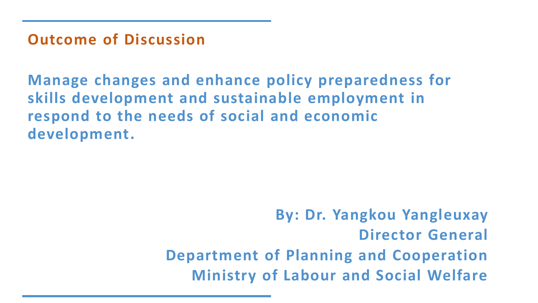**Outcome of Discussion**

**Manage changes and enhance policy preparedness for skills development and sustainable employment in respond to the needs of social and economic development.**

> **By: Dr. Yangkou Yangleuxay Director General Department of Planning and Cooperation Ministry of Labour and Social Welfare**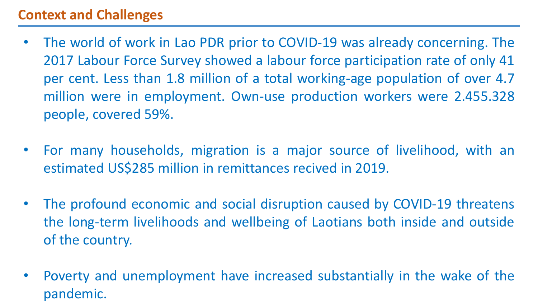## **Context and Challenges**

- The world of work in Lao PDR prior to COVID-19 was already concerning. The 2017 Labour Force Survey showed a labour force participation rate of only 41 per cent. Less than 1.8 million of a total working-age population of over 4.7 million were in employment. Own-use production workers were 2.455.328 people, covered 59%.
- For many households, migration is a major source of livelihood, with an estimated US\$285 million in remittances recived in 2019.
- The profound economic and social disruption caused by COVID-19 threatens the long-term livelihoods and wellbeing of Laotians both inside and outside of the country.
- Poverty and unemployment have increased substantially in the wake of the pandemic.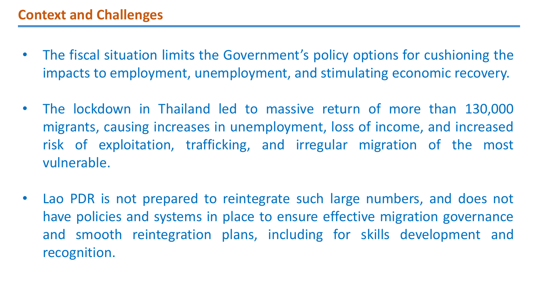- The fiscal situation limits the Government's policy options for cushioning the impacts to employment, unemployment, and stimulating economic recovery.
- The lockdown in Thailand led to massive return of more than 130,000 migrants, causing increases in unemployment, loss of income, and increased risk of exploitation, trafficking, and irregular migration of the most vulnerable.
- Lao PDR is not prepared to reintegrate such large numbers, and does not have policies and systems in place to ensure effective migration governance and smooth reintegration plans, including for skills development and recognition.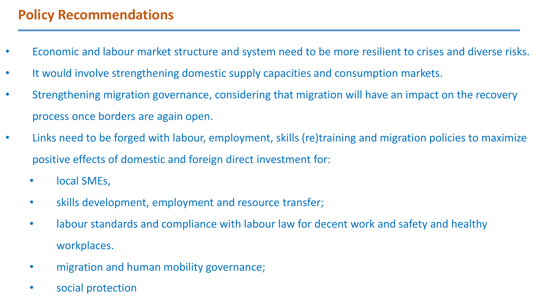## **Policy Recommendations**

- Economic and labour market structure and system need to be more resilient to crises and diverse risks.
- It would involve strengthening domestic supply capacities and consumption markets.
- Strengthening migration governance, considering that migration will have an impact on the recovery process once borders are again open.
- Links need to be forged with labour, employment, skills (re)training and migration policies to maximize positive effects of domestic and foreign direct investment for:
	- local SMEs,
	- skills development, employment and resource transfer;
	- labour standards and compliance with labour law for decent work and safety and healthy workplaces.
	- migration and human mobility governance;
	- social protection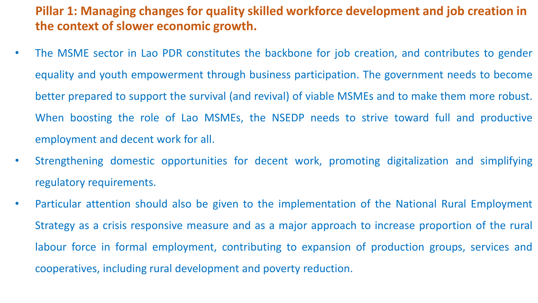#### **Pillar 1: Managing changes for quality skilled workforce development and job creation in the context of slower economic growth.**

- The MSME sector in Lao PDR constitutes the backbone for job creation, and contributes to gender equality and youth empowerment through business participation. The government needs to become better prepared to support the survival (and revival) of viable MSMEs and to make them more robust. When boosting the role of Lao MSMEs, the NSEDP needs to strive toward full and productive employment and decent work for all.
- Strengthening domestic opportunities for decent work, promoting digitalization and simplifying regulatory requirements.
- Particular attention should also be given to the implementation of the National Rural Employment Strategy as a crisis responsive measure and as a major approach to increase proportion of the rural labour force in formal employment, contributing to expansion of production groups, services and cooperatives, including rural development and poverty reduction.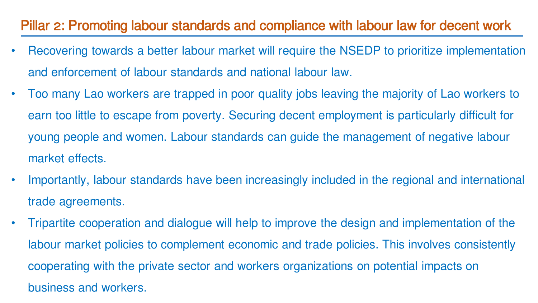## Pillar 2: Promoting labour standards and compliance with labour law for decent work

- Recovering towards a better labour market will require the NSEDP to prioritize implementation and enforcement of labour standards and national labour law.
- Too many Lao workers are trapped in poor quality jobs leaving the majority of Lao workers to earn too little to escape from poverty. Securing decent employment is particularly difficult for young people and women. Labour standards can guide the management of negative labour market effects.
- Importantly, labour standards have been increasingly included in the regional and international trade agreements.
- Tripartite cooperation and dialogue will help to improve the design and implementation of the labour market policies to complement economic and trade policies. This involves consistently cooperating with the private sector and workers organizations on potential impacts on business and workers.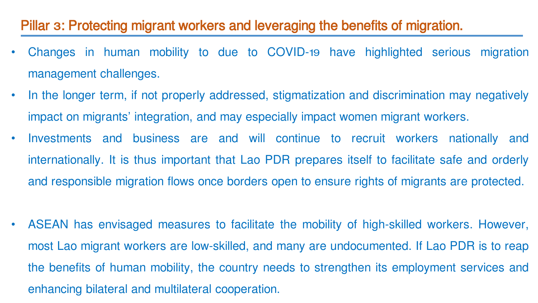#### Pillar 3: Protecting migrant workers and leveraging the benefits of migration.

- Changes in human mobility to due to COVID-19 have highlighted serious migration management challenges.
- In the longer term, if not properly addressed, stigmatization and discrimination may negatively impact on migrants' integration, and may especially impact women migrant workers.
- Investments and business are and will continue to recruit workers nationally and internationally. It is thus important that Lao PDR prepares itself to facilitate safe and orderly and responsible migration flows once borders open to ensure rights of migrants are protected.
- ASEAN has envisaged measures to facilitate the mobility of high-skilled workers. However, most Lao migrant workers are low-skilled, and many are undocumented. If Lao PDR is to reap the benefits of human mobility, the country needs to strengthen its employment services and enhancing bilateral and multilateral cooperation.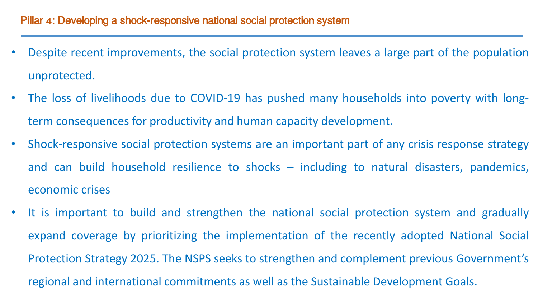- Despite recent improvements, the social protection system leaves a large part of the population unprotected.
- The loss of livelihoods due to COVID-19 has pushed many households into poverty with longterm consequences for productivity and human capacity development.
- Shock-responsive social protection systems are an important part of any crisis response strategy and can build household resilience to shocks – including to natural disasters, pandemics, economic crises
- It is important to build and strengthen the national social protection system and gradually expand coverage by prioritizing the implementation of the recently adopted National Social Protection Strategy 2025. The NSPS seeks to strengthen and complement previous Government's regional and international commitments as well as the Sustainable Development Goals.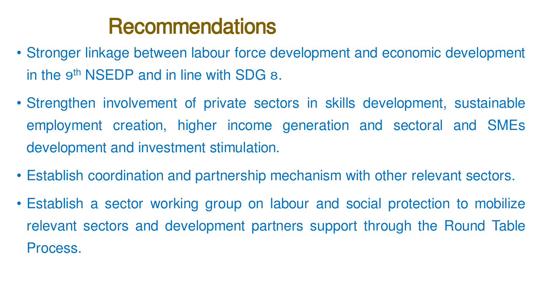# Recommendations

- Stronger linkage between labour force development and economic development in the 9<sup>th</sup> NSEDP and in line with SDG 8.
- Strengthen involvement of private sectors in skills development, sustainable employment creation, higher income generation and sectoral and SMEs development and investment stimulation.
- Establish coordination and partnership mechanism with other relevant sectors.
- Establish a sector working group on labour and social protection to mobilize relevant sectors and development partners support through the Round Table Process.